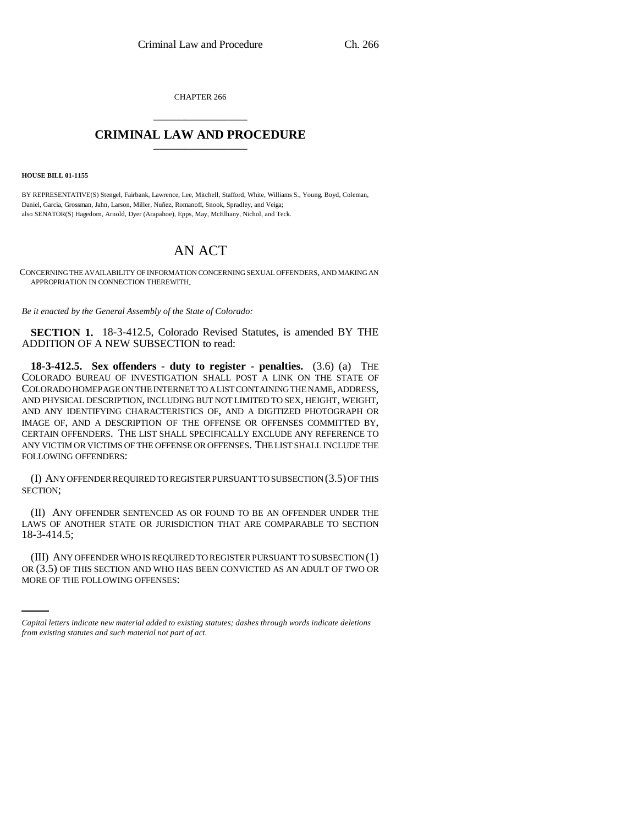CHAPTER 266 \_\_\_\_\_\_\_\_\_\_\_\_\_\_\_

## **CRIMINAL LAW AND PROCEDURE** \_\_\_\_\_\_\_\_\_\_\_\_\_\_\_

**HOUSE BILL 01-1155**

BY REPRESENTATIVE(S) Stengel, Fairbank, Lawrence, Lee, Mitchell, Stafford, White, Williams S., Young, Boyd, Coleman, Daniel, Garcia, Grossman, Jahn, Larson, Miller, Nuñez, Romanoff, Snook, Spradley, and Veiga; also SENATOR(S) Hagedorn, Arnold, Dyer (Arapahoe), Epps, May, McElhany, Nichol, and Teck.

## AN ACT

CONCERNING THE AVAILABILITY OF INFORMATION CONCERNING SEXUAL OFFENDERS, AND MAKING AN APPROPRIATION IN CONNECTION THEREWITH.

*Be it enacted by the General Assembly of the State of Colorado:*

**SECTION 1.** 18-3-412.5, Colorado Revised Statutes, is amended BY THE ADDITION OF A NEW SUBSECTION to read:

**18-3-412.5. Sex offenders - duty to register - penalties.** (3.6) (a) THE COLORADO BUREAU OF INVESTIGATION SHALL POST A LINK ON THE STATE OF COLORADO HOMEPAGE ON THE INTERNET TO A LIST CONTAINING THE NAME, ADDRESS, AND PHYSICAL DESCRIPTION, INCLUDING BUT NOT LIMITED TO SEX, HEIGHT, WEIGHT, AND ANY IDENTIFYING CHARACTERISTICS OF, AND A DIGITIZED PHOTOGRAPH OR IMAGE OF, AND A DESCRIPTION OF THE OFFENSE OR OFFENSES COMMITTED BY, CERTAIN OFFENDERS. THE LIST SHALL SPECIFICALLY EXCLUDE ANY REFERENCE TO ANY VICTIM OR VICTIMS OF THE OFFENSE OR OFFENSES. THE LIST SHALL INCLUDE THE FOLLOWING OFFENDERS:

(I) ANY OFFENDER REQUIRED TO REGISTER PURSUANT TO SUBSECTION (3.5) OF THIS SECTION;

(II) ANY OFFENDER SENTENCED AS OR FOUND TO BE AN OFFENDER UNDER THE LAWS OF ANOTHER STATE OR JURISDICTION THAT ARE COMPARABLE TO SECTION 18-3-414.5;

(III) ANY OFFENDER WHO IS REQUIRED TO REGISTER PURSUANT TO SUBSECTION (1) OR (3.5) OF THIS SECTION AND WHO HAS BEEN CONVICTED AS AN ADULT OF TWO OR MORE OF THE FOLLOWING OFFENSES:

*Capital letters indicate new material added to existing statutes; dashes through words indicate deletions from existing statutes and such material not part of act.*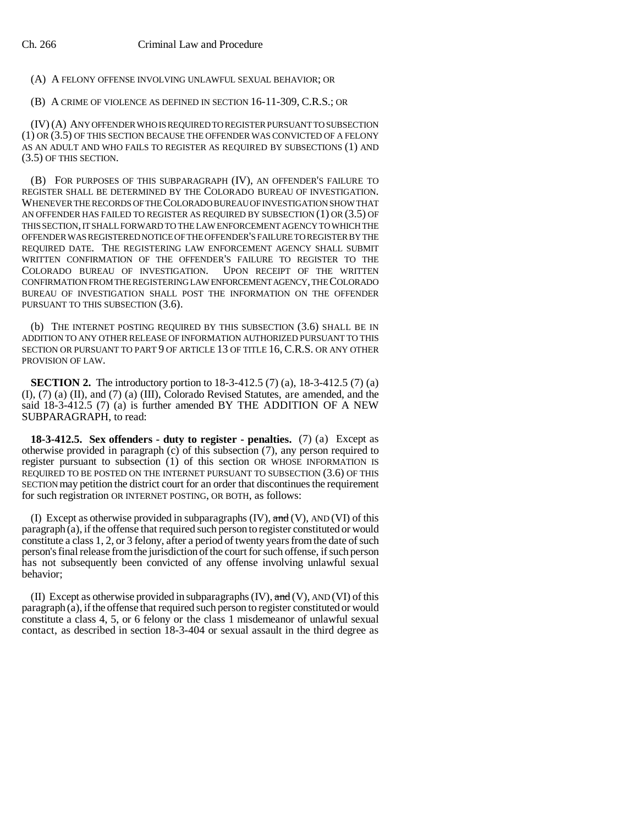(A) A FELONY OFFENSE INVOLVING UNLAWFUL SEXUAL BEHAVIOR; OR

(B) A CRIME OF VIOLENCE AS DEFINED IN SECTION 16-11-309, C.R.S.; OR

(IV) (A) ANY OFFENDER WHO IS REQUIRED TO REGISTER PURSUANT TO SUBSECTION (1) OR (3.5) OF THIS SECTION BECAUSE THE OFFENDER WAS CONVICTED OF A FELONY AS AN ADULT AND WHO FAILS TO REGISTER AS REQUIRED BY SUBSECTIONS (1) AND (3.5) OF THIS SECTION.

(B) FOR PURPOSES OF THIS SUBPARAGRAPH (IV), AN OFFENDER'S FAILURE TO REGISTER SHALL BE DETERMINED BY THE COLORADO BUREAU OF INVESTIGATION. WHENEVER THE RECORDS OF THE COLORADO BUREAU OF INVESTIGATION SHOW THAT AN OFFENDER HAS FAILED TO REGISTER AS REQUIRED BY SUBSECTION (1) OR (3.5) OF THIS SECTION, IT SHALL FORWARD TO THE LAW ENFORCEMENT AGENCY TO WHICH THE OFFENDER WAS REGISTERED NOTICE OF THE OFFENDER'S FAILURE TO REGISTER BY THE REQUIRED DATE. THE REGISTERING LAW ENFORCEMENT AGENCY SHALL SUBMIT WRITTEN CONFIRMATION OF THE OFFENDER'S FAILURE TO REGISTER TO THE COLORADO BUREAU OF INVESTIGATION. UPON RECEIPT OF THE WRITTEN CONFIRMATION FROM THE REGISTERING LAW ENFORCEMENT AGENCY, THE COLORADO BUREAU OF INVESTIGATION SHALL POST THE INFORMATION ON THE OFFENDER PURSUANT TO THIS SUBSECTION  $(3.6)$ .

(b) THE INTERNET POSTING REQUIRED BY THIS SUBSECTION (3.6) SHALL BE IN ADDITION TO ANY OTHER RELEASE OF INFORMATION AUTHORIZED PURSUANT TO THIS SECTION OR PURSUANT TO PART 9 OF ARTICLE 13 OF TITLE 16, C.R.S. OR ANY OTHER PROVISION OF LAW.

**SECTION 2.** The introductory portion to 18-3-412.5 (7) (a), 18-3-412.5 (7) (a) (I), (7) (a) (II), and (7) (a) (III), Colorado Revised Statutes, are amended, and the said 18-3-412.5 (7) (a) is further amended BY THE ADDITION OF A NEW SUBPARAGRAPH, to read:

**18-3-412.5. Sex offenders - duty to register - penalties.** (7) (a) Except as otherwise provided in paragraph (c) of this subsection (7), any person required to register pursuant to subsection (1) of this section OR WHOSE INFORMATION IS REQUIRED TO BE POSTED ON THE INTERNET PURSUANT TO SUBSECTION (3.6) OF THIS SECTION may petition the district court for an order that discontinues the requirement for such registration OR INTERNET POSTING, OR BOTH, as follows:

(I) Except as otherwise provided in subparagraphs  $(IV)$ ,  $\text{and } (V)$ ,  $\text{AND } (VI)$  of this  $\frac{1}{2}$  paragraph  $\frac{1}{2}$ , if the offense that required such person to register constituted or would constitute a class 1, 2, or 3 felony, after a period of twenty years from the date of such person's final release from the jurisdiction of the court for such offense, if such person has not subsequently been convicted of any offense involving unlawful sexual behavior;

(II) Except as otherwise provided in subparagraphs  $(V)$ , and  $(V)$ , AND  $(V)$  of this paragraph (a), if the offense that required such person to register constituted or would constitute a class 4, 5, or 6 felony or the class 1 misdemeanor of unlawful sexual contact, as described in section 18-3-404 or sexual assault in the third degree as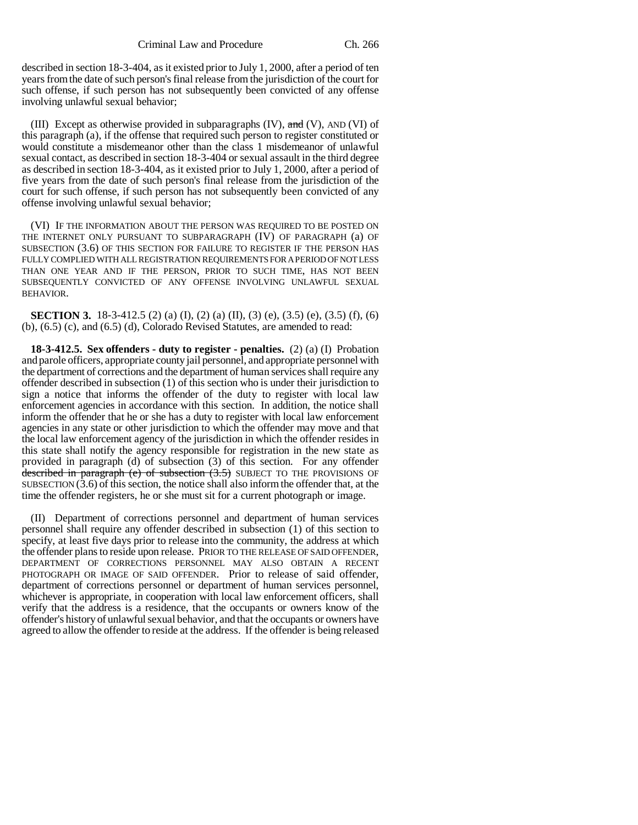described in section 18-3-404, as it existed prior to July 1, 2000, after a period of ten years from the date of such person's final release from the jurisdiction of the court for such offense, if such person has not subsequently been convicted of any offense involving unlawful sexual behavior;

(III) Except as otherwise provided in subparagraphs  $(IV)$ ,  $\theta$ nd  $(V)$ , AND  $(VI)$  of this paragraph (a), if the offense that required such person to register constituted or would constitute a misdemeanor other than the class 1 misdemeanor of unlawful sexual contact, as described in section 18-3-404 or sexual assault in the third degree as described in section 18-3-404, as it existed prior to July 1, 2000, after a period of five years from the date of such person's final release from the jurisdiction of the court for such offense, if such person has not subsequently been convicted of any offense involving unlawful sexual behavior;

(VI) IF THE INFORMATION ABOUT THE PERSON WAS REQUIRED TO BE POSTED ON THE INTERNET ONLY PURSUANT TO SUBPARAGRAPH (IV) OF PARAGRAPH (a) OF SUBSECTION (3.6) OF THIS SECTION FOR FAILURE TO REGISTER IF THE PERSON HAS FULLY COMPLIED WITH ALL REGISTRATION REQUIREMENTS FOR A PERIOD OF NOT LESS THAN ONE YEAR AND IF THE PERSON, PRIOR TO SUCH TIME, HAS NOT BEEN SUBSEQUENTLY CONVICTED OF ANY OFFENSE INVOLVING UNLAWFUL SEXUAL BEHAVIOR.

**SECTION 3.** 18-3-412.5 (2) (a) (I), (2) (a) (II), (3) (e), (3.5) (e), (3.5) (f), (6) (b), (6.5) (c), and (6.5) (d), Colorado Revised Statutes, are amended to read:

**18-3-412.5. Sex offenders - duty to register - penalties.** (2) (a) (I) Probation and parole officers, appropriate county jail personnel, and appropriate personnel with the department of corrections and the department of human services shall require any offender described in subsection (1) of this section who is under their jurisdiction to sign a notice that informs the offender of the duty to register with local law enforcement agencies in accordance with this section. In addition, the notice shall inform the offender that he or she has a duty to register with local law enforcement agencies in any state or other jurisdiction to which the offender may move and that the local law enforcement agency of the jurisdiction in which the offender resides in this state shall notify the agency responsible for registration in the new state as provided in paragraph (d) of subsection (3) of this section. For any offender described in paragraph (e) of subsection (3.5) SUBJECT TO THE PROVISIONS OF SUBSECTION  $(3.6)$  of this section, the notice shall also inform the offender that, at the time the offender registers, he or she must sit for a current photograph or image.

(II) Department of corrections personnel and department of human services personnel shall require any offender described in subsection (1) of this section to specify, at least five days prior to release into the community, the address at which the offender plans to reside upon release. PRIOR TO THE RELEASE OF SAID OFFENDER, DEPARTMENT OF CORRECTIONS PERSONNEL MAY ALSO OBTAIN A RECENT PHOTOGRAPH OR IMAGE OF SAID OFFENDER. Prior to release of said offender, department of corrections personnel or department of human services personnel, whichever is appropriate, in cooperation with local law enforcement officers, shall verify that the address is a residence, that the occupants or owners know of the offender's history of unlawful sexual behavior, and that the occupants or owners have agreed to allow the offender to reside at the address. If the offender is being released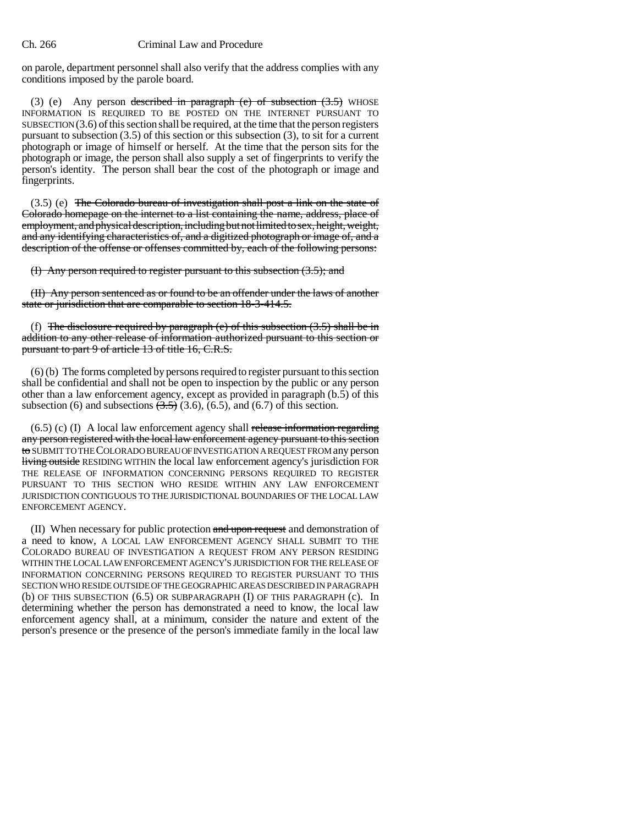## Ch. 266 Criminal Law and Procedure

on parole, department personnel shall also verify that the address complies with any conditions imposed by the parole board.

(3) (e) Any person described in paragraph (e) of subsection (3.5) WHOSE INFORMATION IS REQUIRED TO BE POSTED ON THE INTERNET PURSUANT TO SUBSECTION  $(3.6)$  of this section shall be required, at the time that the person registers pursuant to subsection (3.5) of this section or this subsection (3), to sit for a current photograph or image of himself or herself. At the time that the person sits for the photograph or image, the person shall also supply a set of fingerprints to verify the person's identity. The person shall bear the cost of the photograph or image and fingerprints.

 $(3.5)$  (e) The Colorado bureau of investigation shall post a link on the state of Colorado homepage on the internet to a list containing the name, address, place of employment, and physical description, including but not limited to sex, height, weight, and any identifying characteristics of, and a digitized photograph or image of, and a description of the offense or offenses committed by, each of the following persons:

(I) Any person required to register pursuant to this subsection (3.5); and

(II) Any person sentenced as or found to be an offender under the laws of another state or jurisdiction that are comparable to section 18-3-414.5.

(f) The disclosure required by paragraph (e) of this subsection  $(3.5)$  shall be in addition to any other release of information authorized pursuant to this section or pursuant to part 9 of article 13 of title 16, C.R.S.

(6) (b) The forms completed by persons required to register pursuant to this section shall be confidential and shall not be open to inspection by the public or any person other than a law enforcement agency, except as provided in paragraph (b.5) of this subsection (6) and subsections  $(3.5)$  (3.6), (6.5), and (6.7) of this section.

 $(6.5)$  (c) (I) A local law enforcement agency shall release information regarding any person registered with the local law enforcement agency pursuant to this section to SUBMIT TO THE COLORADO BUREAU OF INVESTIGATION A REQUEST FROM any person living outside RESIDING WITHIN the local law enforcement agency's jurisdiction FOR THE RELEASE OF INFORMATION CONCERNING PERSONS REQUIRED TO REGISTER PURSUANT TO THIS SECTION WHO RESIDE WITHIN ANY LAW ENFORCEMENT JURISDICTION CONTIGUOUS TO THE JURISDICTIONAL BOUNDARIES OF THE LOCAL LAW ENFORCEMENT AGENCY.

(II) When necessary for public protection and upon request and demonstration of a need to know, A LOCAL LAW ENFORCEMENT AGENCY SHALL SUBMIT TO THE COLORADO BUREAU OF INVESTIGATION A REQUEST FROM ANY PERSON RESIDING WITHIN THE LOCAL LAW ENFORCEMENT AGENCY'S JURISDICTION FOR THE RELEASE OF INFORMATION CONCERNING PERSONS REQUIRED TO REGISTER PURSUANT TO THIS SECTION WHO RESIDE OUTSIDE OF THE GEOGRAPHIC AREAS DESCRIBED IN PARAGRAPH (b) OF THIS SUBSECTION (6.5) OR SUBPARAGRAPH (I) OF THIS PARAGRAPH (c). In determining whether the person has demonstrated a need to know, the local law enforcement agency shall, at a minimum, consider the nature and extent of the person's presence or the presence of the person's immediate family in the local law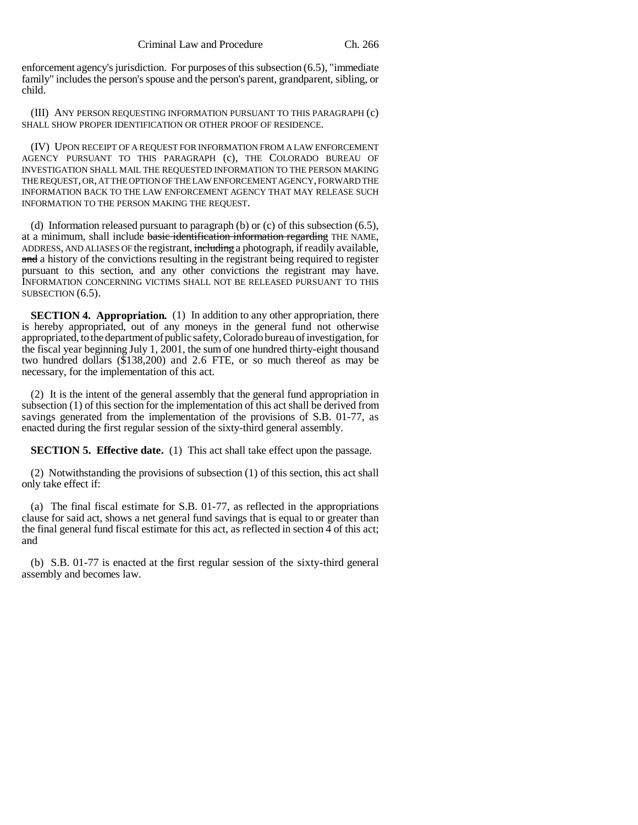enforcement agency's jurisdiction. For purposes of this subsection (6.5), "immediate family" includes the person's spouse and the person's parent, grandparent, sibling, or child.

(III) ANY PERSON REQUESTING INFORMATION PURSUANT TO THIS PARAGRAPH (c) SHALL SHOW PROPER IDENTIFICATION OR OTHER PROOF OF RESIDENCE.

(IV) UPON RECEIPT OF A REQUEST FOR INFORMATION FROM A LAW ENFORCEMENT AGENCY PURSUANT TO THIS PARAGRAPH (c), THE COLORADO BUREAU OF INVESTIGATION SHALL MAIL THE REQUESTED INFORMATION TO THE PERSON MAKING THE REQUEST, OR, AT THE OPTION OF THE LAW ENFORCEMENT AGENCY, FORWARD THE INFORMATION BACK TO THE LAW ENFORCEMENT AGENCY THAT MAY RELEASE SUCH INFORMATION TO THE PERSON MAKING THE REQUEST.

(d) Information released pursuant to paragraph (b) or (c) of this subsection (6.5), at a minimum, shall include basic identification information regarding THE NAME, ADDRESS, AND ALIASES OF the registrant, including a photograph, if readily available, and a history of the convictions resulting in the registrant being required to register pursuant to this section, and any other convictions the registrant may have. INFORMATION CONCERNING VICTIMS SHALL NOT BE RELEASED PURSUANT TO THIS SUBSECTION  $(6.5)$ .

**SECTION 4. Appropriation.** (1) In addition to any other appropriation, there is hereby appropriated, out of any moneys in the general fund not otherwise appropriated, to the department of public safety, Colorado bureau of investigation, for the fiscal year beginning July 1, 2001, the sum of one hundred thirty-eight thousand two hundred dollars (\$138,200) and 2.6 FTE, or so much thereof as may be necessary, for the implementation of this act.

(2) It is the intent of the general assembly that the general fund appropriation in subsection (1) of this section for the implementation of this act shall be derived from savings generated from the implementation of the provisions of S.B. 01-77, as enacted during the first regular session of the sixty-third general assembly.

**SECTION 5. Effective date.** (1) This act shall take effect upon the passage.

(2) Notwithstanding the provisions of subsection (1) of this section, this act shall only take effect if:

(a) The final fiscal estimate for S.B. 01-77, as reflected in the appropriations clause for said act, shows a net general fund savings that is equal to or greater than the final general fund fiscal estimate for this act, as reflected in section  $\overline{4}$  of this act; and

(b) S.B. 01-77 is enacted at the first regular session of the sixty-third general assembly and becomes law.